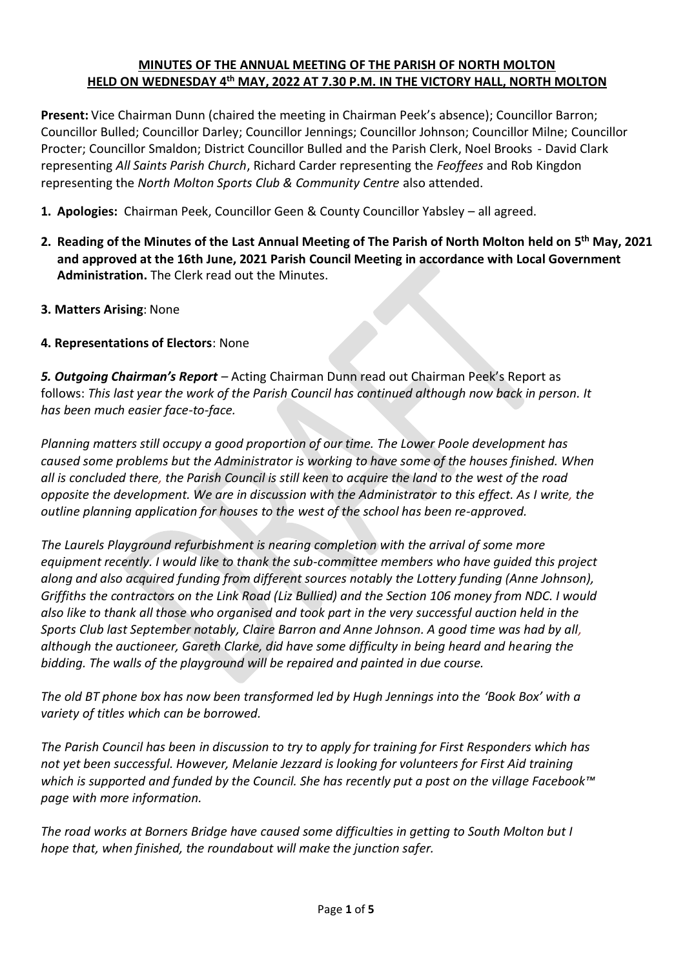## **MINUTES OF THE ANNUAL MEETING OF THE PARISH OF NORTH MOLTON HELD ON WEDNESDAY 4 th MAY, 2022 AT 7.30 P.M. IN THE VICTORY HALL, NORTH MOLTON**

**Present:** Vice Chairman Dunn (chaired the meeting in Chairman Peek's absence); Councillor Barron; Councillor Bulled; Councillor Darley; Councillor Jennings; Councillor Johnson; Councillor Milne; Councillor Procter; Councillor Smaldon; District Councillor Bulled and the Parish Clerk, Noel Brooks - David Clark representing *All Saints Parish Church*, Richard Carder representing the *Feoffees* and Rob Kingdon representing the *North Molton Sports Club & Community Centre* also attended.

- **1. Apologies:** Chairman Peek, Councillor Geen & County Councillor Yabsley all agreed.
- **2. Reading of the Minutes of the Last Annual Meeting of The Parish of North Molton held on 5 th May, 2021 and approved at the 16th June, 2021 Parish Council Meeting in accordance with Local Government Administration.** The Clerk read out the Minutes.
- **3. Matters Arising**: None

## **4. Representations of Electors**: None

*5. Outgoing Chairman's Report –* Acting Chairman Dunn read out Chairman Peek's Report as follows: *This last year the work of the Parish Council has continued although now back in person. It has been much easier face-to-face.* 

*Planning matters still occupy a good proportion of our time. The Lower Poole development has caused some problems but the Administrator is working to have some of the houses finished. When all is concluded there, the Parish Council is still keen to acquire the land to the west of the road opposite the development. We are in discussion with the Administrator to this effect. As I write, the outline planning application for houses to the west of the school has been re-approved.*

*The Laurels Playground refurbishment is nearing completion with the arrival of some more equipment recently. I would like to thank the sub-committee members who have guided this project along and also acquired funding from different sources notably the Lottery funding (Anne Johnson), Griffiths the contractors on the Link Road (Liz Bullied) and the Section 106 money from NDC. I would also like to thank all those who organised and took part in the very successful auction held in the Sports Club last September notably, Claire Barron and Anne Johnson. A good time was had by all, although the auctioneer, Gareth Clarke, did have some difficulty in being heard and hearing the bidding. The walls of the playground will be repaired and painted in due course.*

*The old BT phone box has now been transformed led by Hugh Jennings into the 'Book Box' with a variety of titles which can be borrowed.*

*The Parish Council has been in discussion to try to apply for training for First Responders which has not yet been successful. However, Melanie Jezzard is looking for volunteers for First Aid training which is supported and funded by the Council. She has recently put a post on the village Facebook™ page with more information.*

*The road works at Borners Bridge have caused some difficulties in getting to South Molton but I hope that, when finished, the roundabout will make the junction safer.*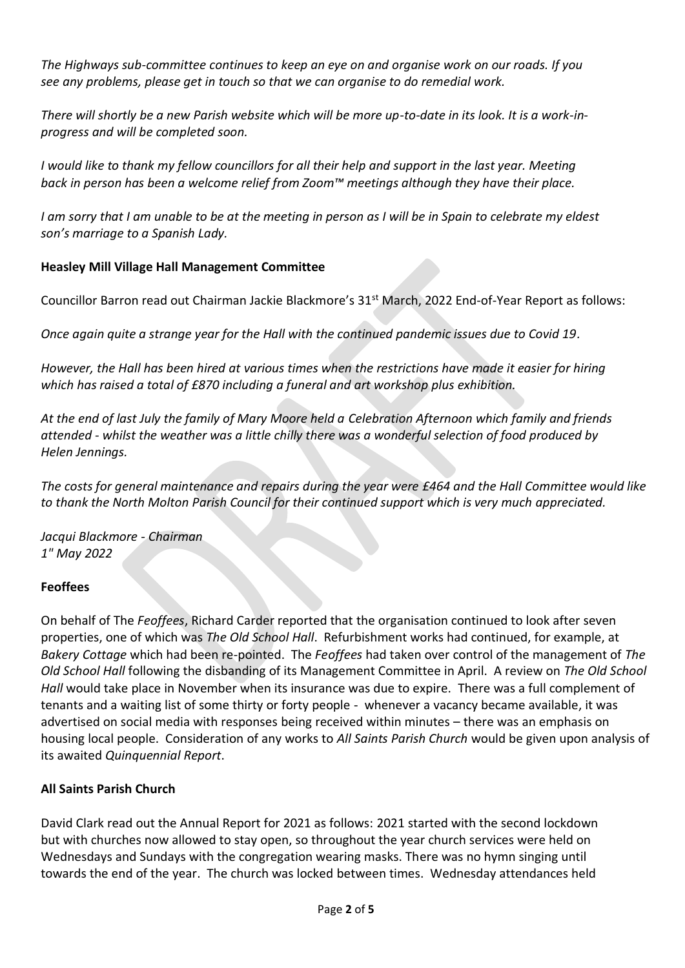*The Highways sub-committee continues to keep an eye on and organise work on our roads. If you see any problems, please get in touch so that we can organise to do remedial work.*

*There will shortly be a new Parish website which will be more up-to-date in its look. It is a work-inprogress and will be completed soon.*

*I* would like to thank my fellow councillors for all their help and support in the last year. Meeting *back in person has been a welcome relief from Zoom™ meetings although they have their place.*

*I am sorry that I am unable to be at the meeting in person as I will be in Spain to celebrate my eldest son's marriage to a Spanish Lady.*

## **Heasley Mill Village Hall Management Committee**

Councillor Barron read out Chairman Jackie Blackmore's 31<sup>st</sup> March, 2022 End-of-Year Report as follows:

*Once again quite a strange year for the Hall with the continued pandemic issues due to Covid 19.*

*However, the Hall has been hired at various times when the restrictions have made it easier for hiring which has raised a total of £870 including a funeral and art workshop plus exhibition.*

*At the end of last July the family of Mary Moore held a Celebration Afternoon which family and friends attended - whilst the weather was a little chilly there was a wonderful selection of food produced by Helen Jennings.* 

*The costs for general maintenance and repairs during the year were £464 and the Hall Committee would like to thank the North Molton Parish Council for their continued support which is very much appreciated.*

*Jacqui Blackmore - Chairman 1" May 2022*

## **Feoffees**

On behalf of The *Feoffees*, Richard Carder reported that the organisation continued to look after seven properties, one of which was *The Old School Hall*. Refurbishment works had continued, for example, at *Bakery Cottage* which had been re-pointed. The *Feoffees* had taken over control of the management of *The Old School Hall* following the disbanding of its Management Committee in April. A review on *The Old School Hall* would take place in November when its insurance was due to expire. There was a full complement of tenants and a waiting list of some thirty or forty people - whenever a vacancy became available, it was advertised on social media with responses being received within minutes – there was an emphasis on housing local people. Consideration of any works to *All Saints Parish Church* would be given upon analysis of its awaited *Quinquennial Report*.

# **All Saints Parish Church**

David Clark read out the Annual Report for 2021 as follows: 2021 started with the second lockdown but with churches now allowed to stay open, so throughout the year church services were held on Wednesdays and Sundays with the congregation wearing masks. There was no hymn singing until towards the end of the year. The church was locked between times. Wednesday attendances held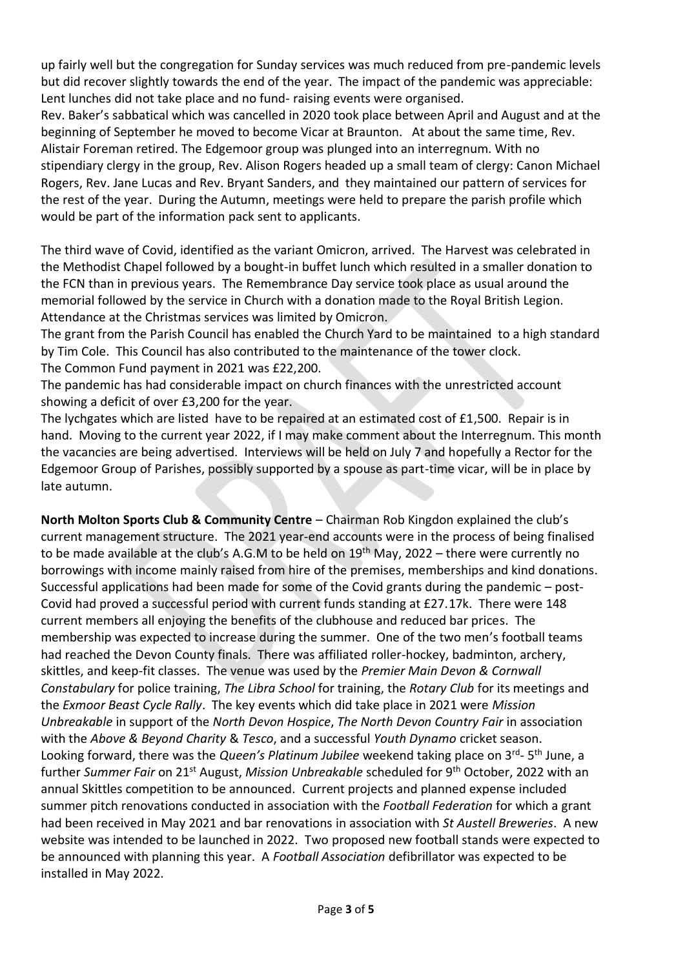up fairly well but the congregation for Sunday services was much reduced from pre-pandemic levels but did recover slightly towards the end of the year. The impact of the pandemic was appreciable: Lent lunches did not take place and no fund- raising events were organised.

Rev. Baker's sabbatical which was cancelled in 2020 took place between April and August and at the beginning of September he moved to become Vicar at Braunton. At about the same time, Rev. Alistair Foreman retired. The Edgemoor group was plunged into an interregnum. With no stipendiary clergy in the group, Rev. Alison Rogers headed up a small team of clergy: Canon Michael Rogers, Rev. Jane Lucas and Rev. Bryant Sanders, and they maintained our pattern of services for the rest of the year. During the Autumn, meetings were held to prepare the parish profile which would be part of the information pack sent to applicants.

The third wave of Covid, identified as the variant Omicron, arrived. The Harvest was celebrated in the Methodist Chapel followed by a bought-in buffet lunch which resulted in a smaller donation to the FCN than in previous years. The Remembrance Day service took place as usual around the memorial followed by the service in Church with a donation made to the Royal British Legion. Attendance at the Christmas services was limited by Omicron.

The grant from the Parish Council has enabled the Church Yard to be maintained to a high standard by Tim Cole. This Council has also contributed to the maintenance of the tower clock. The Common Fund payment in 2021 was £22,200.

The pandemic has had considerable impact on church finances with the unrestricted account showing a deficit of over £3,200 for the year.

The lychgates which are listed have to be repaired at an estimated cost of £1,500. Repair is in hand. Moving to the current year 2022, if I may make comment about the Interregnum. This month the vacancies are being advertised. Interviews will be held on July 7 and hopefully a Rector for the Edgemoor Group of Parishes, possibly supported by a spouse as part-time vicar, will be in place by late autumn.

**North Molton Sports Club & Community Centre** – Chairman Rob Kingdon explained the club's current management structure. The 2021 year-end accounts were in the process of being finalised to be made available at the club's A.G.M to be held on  $19<sup>th</sup>$  May, 2022 – there were currently no borrowings with income mainly raised from hire of the premises, memberships and kind donations. Successful applications had been made for some of the Covid grants during the pandemic – post-Covid had proved a successful period with current funds standing at £27.17k. There were 148 current members all enjoying the benefits of the clubhouse and reduced bar prices. The membership was expected to increase during the summer. One of the two men's football teams had reached the Devon County finals. There was affiliated roller-hockey, badminton, archery, skittles, and keep-fit classes. The venue was used by the *Premier Main Devon & Cornwall Constabulary* for police training, *The Libra School* for training, the *Rotary Club* for its meetings and the *Exmoor Beast Cycle Rally*. The key events which did take place in 2021 were *Mission Unbreakable* in support of the *North Devon Hospice*, *The North Devon Country Fair* in association with the *Above & Beyond Charity* & *Tesco*, and a successful *Youth Dynamo* cricket season. Looking forward, there was the *Queen's Platinum Jubilee* weekend taking place on 3<sup>rd</sup>- 5<sup>th</sup> June, a further *Summer Fair* on 21st August, *Mission Unbreakable* scheduled for 9th October, 2022 with an annual Skittles competition to be announced. Current projects and planned expense included summer pitch renovations conducted in association with the *Football Federation* for which a grant had been received in May 2021 and bar renovations in association with *St Austell Breweries*. A new website was intended to be launched in 2022. Two proposed new football stands were expected to be announced with planning this year. A *Football Association* defibrillator was expected to be installed in May 2022.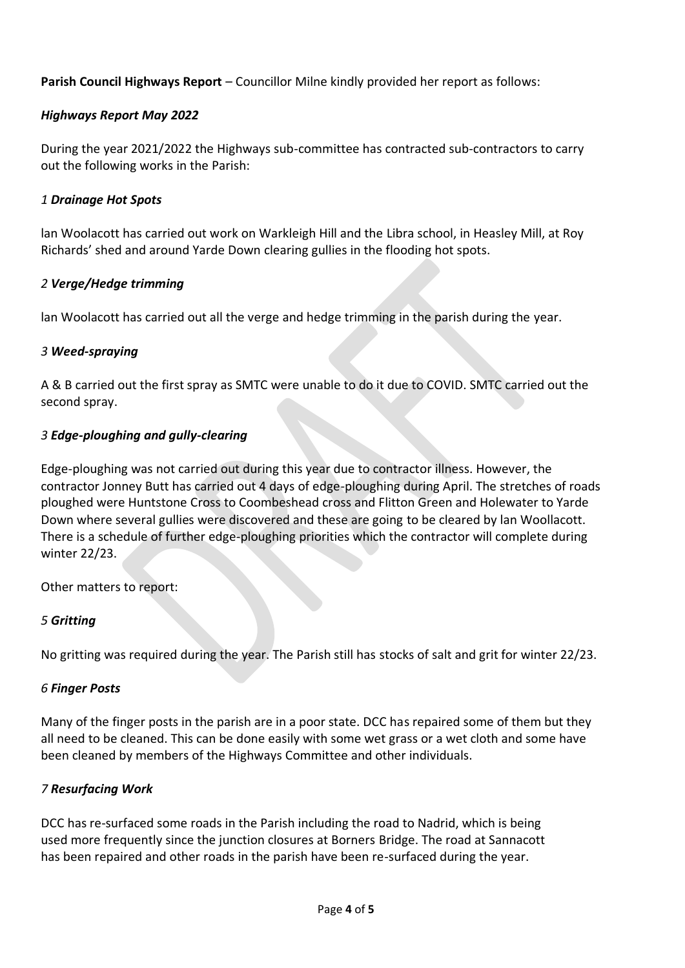**Parish Council Highways Report** – Councillor Milne kindly provided her report as follows:

## *Highways Report May 2022*

During the year 2021/2022 the Highways sub-committee has contracted sub-contractors to carry out the following works in the Parish:

## *1 Drainage Hot Spots*

lan Woolacott has carried out work on Warkleigh Hill and the Libra school, in Heasley Mill, at Roy Richards' shed and around Yarde Down clearing gullies in the flooding hot spots.

## *2 Verge/Hedge trimming*

lan Woolacott has carried out all the verge and hedge trimming in the parish during the year.

#### *3 Weed-spraying*

A & B carried out the first spray as SMTC were unable to do it due to COVID. SMTC carried out the second spray.

## *3 Edge-ploughing and gully-clearing*

Edge-ploughing was not carried out during this year due to contractor illness. However, the contractor Jonney Butt has carried out 4 days of edge-ploughing during April. The stretches of roads ploughed were Huntstone Cross to Coombeshead cross and Flitton Green and Holewater to Yarde Down where several gullies were discovered and these are going to be cleared by lan Woollacott. There is a schedule of further edge-ploughing priorities which the contractor will complete during winter 22/23.

Other matters to report:

## *5 Gritting*

No gritting was required during the year. The Parish still has stocks of salt and grit for winter 22/23.

#### *6 Finger Posts*

Many of the finger posts in the parish are in a poor state. DCC has repaired some of them but they all need to be cleaned. This can be done easily with some wet grass or a wet cloth and some have been cleaned by members of the Highways Committee and other individuals.

## *7 Resurfacing Work*

DCC has re-surfaced some roads in the Parish including the road to Nadrid, which is being used more frequently since the junction closures at Borners Bridge. The road at Sannacott has been repaired and other roads in the parish have been re-surfaced during the year.